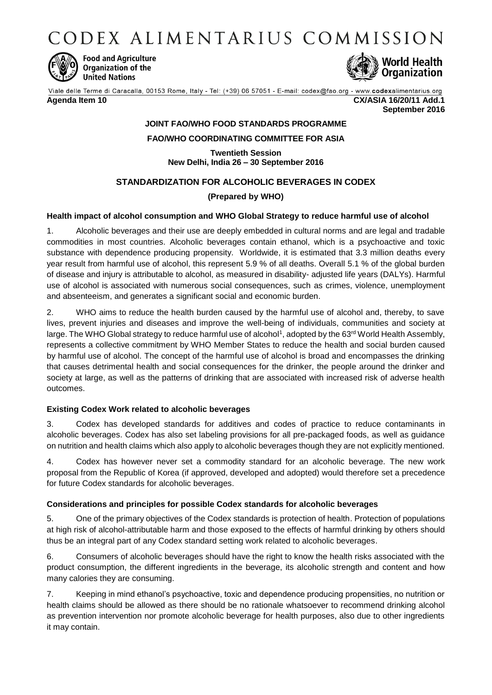CODEX ALIMENTARIUS COMMISSION



**Food and Agriculture** Organization of the **United Nations** 



Viale delle Terme di Caracalla, 00153 Rome, Italy - Tel: (+39) 06 57051 - E-mail: codex@fao.org - www.codexalimentarius.org **Agenda Item 10 CX/ASIA 16/20/11 Add.1**

**September 2016**

# **JOINT FAO/WHO FOOD STANDARDS PROGRAMME**

### **FAO/WHO COORDINATING COMMITTEE FOR ASIA**

**Twentieth Session New Delhi, India 26 – 30 September 2016**

## **STANDARDIZATION FOR ALCOHOLIC BEVERAGES IN CODEX**

## **(Prepared by WHO)**

### **Health impact of alcohol consumption and WHO Global Strategy to reduce harmful use of alcohol**

1. Alcoholic beverages and their use are deeply embedded in cultural norms and are legal and tradable commodities in most countries. Alcoholic beverages contain ethanol, which is a psychoactive and toxic substance with dependence producing propensity. Worldwide, it is estimated that 3.3 million deaths every year result from harmful use of alcohol, this represent 5.9 % of all deaths. Overall 5.1 % of the global burden of disease and injury is attributable to alcohol, as measured in disability- adjusted life years (DALYs). Harmful use of alcohol is associated with numerous social consequences, such as crimes, violence, unemployment and absenteeism, and generates a significant social and economic burden.

2. WHO aims to reduce the health burden caused by the harmful use of alcohol and, thereby, to save lives, prevent injuries and diseases and improve the well-being of individuals, communities and society at large. The WHO Global strategy to reduce harmful use of alcohol<sup>1</sup>, adopted by the 63<sup>rd</sup> World Health Assembly, represents a collective commitment by WHO Member States to reduce the health and social burden caused by harmful use of alcohol. The concept of the harmful use of alcohol is broad and encompasses the drinking that causes detrimental health and social consequences for the drinker, the people around the drinker and society at large, as well as the patterns of drinking that are associated with increased risk of adverse health outcomes.

### **Existing Codex Work related to alcoholic beverages**

3. Codex has developed standards for additives and codes of practice to reduce contaminants in alcoholic beverages. Codex has also set labeling provisions for all pre-packaged foods, as well as guidance on nutrition and health claims which also apply to alcoholic beverages though they are not explicitly mentioned.

4. Codex has however never set a commodity standard for an alcoholic beverage. The new work proposal from the Republic of Korea (if approved, developed and adopted) would therefore set a precedence for future Codex standards for alcoholic beverages.

#### **Considerations and principles for possible Codex standards for alcoholic beverages**

5. One of the primary objectives of the Codex standards is protection of health. Protection of populations at high risk of alcohol-attributable harm and those exposed to the effects of harmful drinking by others should thus be an integral part of any Codex standard setting work related to alcoholic beverages.

6. Consumers of alcoholic beverages should have the right to know the health risks associated with the product consumption, the different ingredients in the beverage, its alcoholic strength and content and how many calories they are consuming.

7. Keeping in mind ethanol's psychoactive, toxic and dependence producing propensities, no nutrition or health claims should be allowed as there should be no rationale whatsoever to recommend drinking alcohol as prevention intervention nor promote alcoholic beverage for health purposes, also due to other ingredients it may contain.